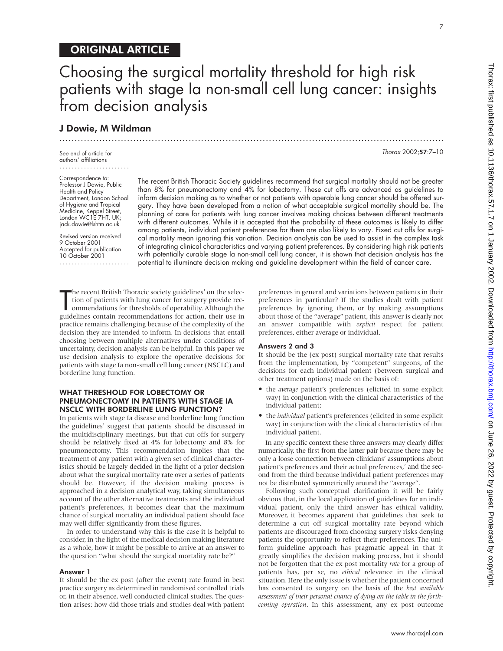# ORIGINAL ARTICLE

# Choosing the surgical mortality threshold for high risk patients with stage Ia non-small cell lung cancer: insights from decision analysis

.............................................................................................................................

## J Dowie, M Wildman

See end of article for authors' affiliations .......................

Correspondence to: Professor J Dowie, Public Health and Policy Department, London School of Hygiene and Tropical Medicine, Keppel Street, London WC1E 7HT, UK; jack.dowie@lshtm.ac.uk

Revised version received 9 October 2001 Accepted for publication 10 October 2001 .......................

The recent British Thoracic Society guidelines recommend that surgical mortality should not be greater than 8% for pneumonectomy and 4% for lobectomy. These cut offs are advanced as guidelines to inform decision making as to whether or not patients with operable lung cancer should be offered surgery. They have been developed from a notion of what acceptable surgical mortality should be. The planning of care for patients with lung cancer involves making choices between different treatments with different outcomes. While it is accepted that the probability of these outcomes is likely to differ among patients, individual patient preferences for them are also likely to vary. Fixed cut offs for surgical mortality mean ignoring this variation. Decision analysis can be used to assist in the complex task of integrating clinical characteristics and varying patient preferences. By considering high risk patients with potentially curable stage Ia non-small cell lung cancer, it is shown that decision analysis has the potential to illuminate decision making and guideline development within the field of cancer care.

The recent British Thoracic society guidelines' on the selection of patients with lung cancer for surgery provide recommendations for thresholds of operability. Although the guidelines contain recommendations for action, t The recent British Thoracic society guidelines<sup>1</sup> on the selection of patients with lung cancer for surgery provide recommendations for thresholds of operability. Although the practice remains challenging because of the complexity of the decision they are intended to inform. In decisions that entail choosing between multiple alternatives under conditions of uncertainty, decision analysis can be helpful. In this paper we use decision analysis to explore the operative decisions for patients with stage Ia non-small cell lung cancer (NSCLC) and borderline lung function.

## WHAT THRESHOLD FOR LOBECTOMY OR PNEUMONECTOMY IN PATIENTS WITH STAGE IA NSCLC WITH BORDERLINE LUNG FUNCTION?

In patients with stage Ia disease and borderline lung function the guidelines<sup>1</sup> suggest that patients should be discussed in the multidisciplinary meetings, but that cut offs for surgery should be relatively fixed at 4% for lobectomy and 8% for pneumonectomy. This recommendation implies that the treatment of any patient with a given set of clinical characteristics should be largely decided in the light of a prior decision about what the surgical mortality rate over a series of patients should be. However, if the decision making process is approached in a decision analytical way, taking simultaneous account of the other alternative treatments and the individual patient's preferences, it becomes clear that the maximum chance of surgical mortality an individual patient should face may well differ significantly from these figures.

In order to understand why this is the case it is helpful to consider, in the light of the medical decision making literature as a whole, how it might be possible to arrive at an answer to the question "what should the surgical mortality rate be?"

#### Answer 1

It should be the ex post (after the event) rate found in best practice surgery as determined in randomised controlled trials or, in their absence, well conducted clinical studies. The question arises: how did those trials and studies deal with patient

preferences in general and variations between patients in their preferences in particular? If the studies dealt with patient preferences by ignoring them, or by making assumptions about those of the "average" patient, this answer is clearly not an answer compatible with *explicit* respect for patient preferences, either average or individual.

#### Answers 2 and 3

It should be the (ex post) surgical mortality rate that results from the implementation, by "competent" surgeons, of the decisions for each individual patient (between surgical and other treatment options) made on the basis of:

- the *average* patient's preferences (elicited in some explicit way) in conjunction with the clinical characteristics of the individual patient;
- the *individual* patient's preferences (elicited in some explicit way) in conjunction with the clinical characteristics of that individual patient.

In any specific context these three answers may clearly differ numerically, the first from the latter pair because there may be only a loose connection between clinicians' assumptions about patient's preferences and their actual preferences,<sup>2</sup> and the second from the third because individual patient preferences may not be distributed symmetrically around the "average".

Following such conceptual clarification it will be fairly obvious that, in the local application of guidelines for an individual patient, only the third answer has ethical validity. Moreover, it becomes apparent that guidelines that seek to determine a cut off surgical mortality rate beyond which patients are discouraged from choosing surgery risks denying patients the opportunity to reflect their preferences. The uniform guideline approach has pragmatic appeal in that it greatly simplifies the decision making process, but it should not be forgotten that the ex post mortality *rate* for a group of patients has, per se, no *ethical* relevance in the clinical situation. Here the only issue is whether the patient concerned has consented to surgery on the basis of the *best available assessment of their personal chance of dying on the table in the forthcoming operation*. In this assessment, any ex post outcome

#### Thorax 2002;57:7–10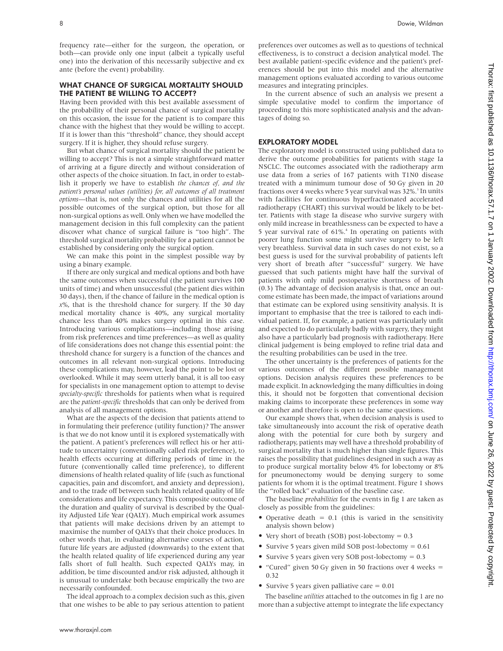frequency rate—either for the surgeon, the operation, or both—can provide only one input (albeit a typically useful one) into the derivation of this necessarily subjective and ex ante (before the event) probability.

## WHAT CHANCE OF SURGICAL MORTALITY SHOULD THE PATIENT BE WILLING TO ACCEPT?

Having been provided with this best available assessment of the probability of their personal chance of surgical mortality on this occasion, the issue for the patient is to compare this chance with the highest that they would be willing to accept. If it is lower than this "threshold" chance, they should accept surgery. If it is higher, they should refuse surgery.

But what chance of surgical mortality should the patient be willing to accept? This is not a simple straightforward matter of arriving at a figure directly and without consideration of other aspects of the choice situation. In fact, in order to establish it properly we have to establish *the chances of, and the patient's personal values (utilities) for, all outcomes of all treatment options*—that is, not only the chances and utilities for all the possible outcomes of the surgical option, but those for all non-surgical options as well. Only when we have modelled the management decision in this full complexity can the patient discover what chance of surgical failure is "too high". The threshold surgical mortality probability for a patient cannot be established by considering only the surgical option.

We can make this point in the simplest possible way by using a binary example.

If there are only surgical and medical options and both have the same outcomes when successful (the patient survives 100 units of time) and when unsuccessful (the patient dies within 30 days), then, if the chance of failure in the medical option is *x*%, that is the threshold chance for surgery. If the 30 day medical mortality chance is 40%, any surgical mortality chance less than 40% makes surgery optimal in this case. Introducing various complications—including those arising from risk preferences and time preferences—as well as quality of life considerations does not change this essential point: the threshold chance for surgery is a function of the chances and outcomes in all relevant non-surgical options. Introducing these complications may, however, lead the point to be lost or overlooked. While it may seem utterly banal, it is all too easy for specialists in one management option to attempt to devise *specialty-specific* thresholds for patients when what is required are the *patient-specific* thresholds that can only be derived from analysis of all management options.

What are the aspects of the decision that patients attend to in formulating their preference (utility function)? The answer is that we do not know until it is explored systematically with the patient. A patient's preferences will reflect his or her attitude to uncertainty (conventionally called risk preference), to health effects occurring at differing periods of time in the future (conventionally called time preference), to different dimensions of health related quality of life (such as functional capacities, pain and discomfort, and anxiety and depression), and to the trade off between such health related quality of life considerations and life expectancy. This composite outcome of the duration and quality of survival is described by the Quality Adjusted Life Year (QALY). Much empirical work assumes that patients will make decisions driven by an attempt to maximise the number of QALYs that their choice produces. In other words that, in evaluating alternative courses of action, future life years are adjusted (downwards) to the extent that the health related quality of life experienced during any year falls short of full health. Such expected QALYs may, in addition, be time discounted and/or risk adjusted, although it is unusual to undertake both because empirically the two are necessarily confounded.

The ideal approach to a complex decision such as this, given that one wishes to be able to pay serious attention to patient

preferences over outcomes as well as to questions of technical effectiveness, is to construct a decision analytical model. The best available patient-specific evidence and the patient's preferences should be put into this model and the alternative management options evaluated according to various outcome measures and integrating principles.

In the current absence of such an analysis we present a simple speculative model to confirm the importance of proceeding to this more sophisticated analysis and the advantages of doing so.

## EXPLORATORY MODEL

The exploratory model is constructed using published data to derive the outcome probabilities for patients with stage Ia NSCLC. The outcomes associated with the radiotherapy arm use data from a series of 167 patients with T1N0 disease treated with a minimum tumour dose of 50 Gy given in 20 fractions over 4 weeks where 5 year survival was 32%.<sup>3</sup> In units with facilities for continuous hyperfractionated accelerated radiotherapy (CHART) this survival would be likely to be better. Patients with stage Ia disease who survive surgery with only mild increase in breathlessness can be expected to have a 5 year survival rate of  $61\%$ .<sup>4</sup> In operating on patients with poorer lung function some might survive surgery to be left very breathless. Survival data in such cases do not exist, so a best guess is used for the survival probability of patients left very short of breath after "successful" surgery. We have guessed that such patients might have half the survival of patients with only mild postoperative shortness of breath (0.3) The advantage of decision analysis is that, once an outcome estimate has been made, the impact of variations around that estimate can be explored using sensitivity analysis. It is important to emphasise that the tree is tailored to each individual patient. If, for example, a patient was particularly unfit and expected to do particularly badly with surgery, they might also have a particularly bad prognosis with radiotherapy. Here clinical judgement is being employed to refine trial data and the resulting probabilities can be used in the tree.

The other uncertainty is the preferences of patients for the various outcomes of the different possible management options. Decision analysis requires these preferences to be made explicit. In acknowledging the many difficulties in doing this, it should not be forgotten that conventional decision making claims to incorporate these preferences in some way or another and therefore is open to the same questions.

Our example shows that, when decision analysis is used to take simultaneously into account the risk of operative death along with the potential for cure both by surgery and radiotherapy, patients may well have a threshold probability of surgical mortality that is much higher than single figures. This raises the possibility that guidelines designed in such a way as to produce surgical mortality below 4% for lobectomy or 8% for pneumonectomy would be denying surgery to some patients for whom it is the optimal treatment. Figure 1 shows the "rolled back" evaluation of the baseline case.

The baseline *probabilities* for the events in fig 1 are taken as closely as possible from the guidelines:

- Operative death  $= 0.1$  (this is varied in the sensitivity analysis shown below)
- Very short of breath (SOB) post-lobectomy  $= 0.3$
- Survive 5 years given mild SOB post-lobectomy  $= 0.61$
- Survive 5 years given very SOB post-lobectomy  $= 0.3$
- "Cured" given 50 Gy given in 50 fractions over 4 weeks = 0.32
- Survive 5 years given palliative care  $= 0.01$

The baseline *utilities* attached to the outcomes in fig 1 are no more than a subjective attempt to integrate the life expectancy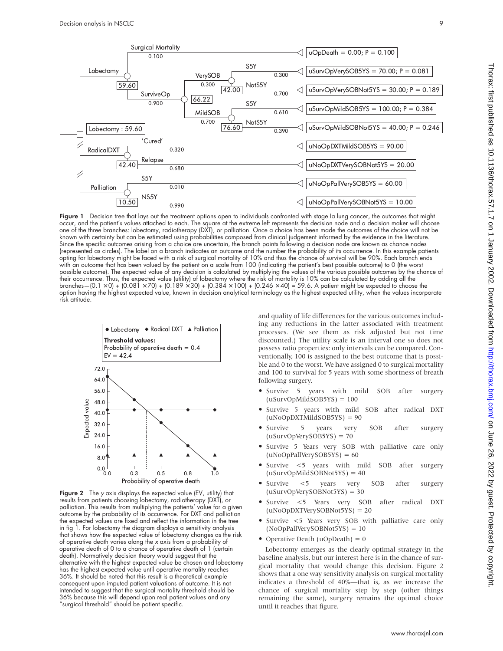

Figure 1 Decision tree that lays out the treatment options open to individuals confronted with stage Ia lung cancer, the outcomes that might occur, and the patient's values attached to each. The square at the extreme left represents the decision node and a decision maker will choose one of the three branches: lobectomy, radiotherapy (DXT), or palliation. Once a choice has been made the outcomes of the choice will not be known with certainty but can be estimated using probabilities composed from clinical judgement informed by the evidence in the literature. Since the specific outcomes arising from a choice are uncertain, the branch points following a decision node are known as chance nodes (represented as circles). The label on a branch indicates an outcome and the number the probability of its occurrence. In this example patients opting for lobectomy might be faced with a risk of surgical mortality of 10% and thus the chance of survival will be 90%. Each branch ends with an outcome that has been valued by the patient on a scale from 100 (indicating the patient's best possible outcome) to 0 (the worst possible outcome). The expected value of any decision is calculated by multiplying the values of the various possible outcomes by the chance of their occurrence. Thus, the expected value (utility) of lobectomy where the risk of mortality is 10% can be calculated by adding all the branches—(0.1 × 0) + (0.081 × 70) + (0.189 × 30) + (0.384 × 100) + (0.246 × 40) = 59.6. A patient might be expected to choose the option having the highest expected value, known in decision analytical terminology as the highest expected utility, when the values incorporate risk attitude.



Figure 2 The y axis displays the expected value (EV, utility) that results from patients choosing lobectomy, radiotherapy (DXT), or palliation. This results from multiplying the patients' value for a given outcome by the probability of its occurrence. For DXT and palliation the expected values are fixed and reflect the information in the tree in fig 1. For lobectomy the diagram displays a sensitivity analysis that shows how the expected value of lobectomy changes as the risk of operative death varies along the <sup>x</sup> axis from a probability of operative death of 0 to a chance of operative death of 1 (certain death). Normatively decision theory would suggest that the alternative with the highest expected value be chosen and lobectomy has the highest expected value until operative mortality reaches 36%. It should be noted that this result is a theoretical example consequent upon imputed patient valuations of outcome. It is not intended to suggest that the surgical mortality threshold should be 36% because this will depend upon real patient values and any "surgical threshold" should be patient specific.

and quality of life differences for the various outcomes including any reductions in the latter associated with treatment processes. (We see them as risk adjusted but not time discounted.) The utility scale is an interval one so does not possess ratio properties: only intervals can be compared. Conventionally, 100 is assigned to the best outcome that is possible and 0 to the worst. We have assigned 0 to surgical mortality and 100 to survival for 5 years with some shortness of breath following surgery.

- Survive 5 years with mild SOB after surgery  $(uSurvOpMildSOB5YS) = 100$
- Survive 5 years with mild SOB after radical DXT  $(uNoOpDXTMildSOB5YS) = 90$
- Survive 5 years very SOB after surgery  $(uSurvOpVerySOB5YS) = 70$
- Survive 5 Years very SOB with palliative care only  $(uNoOpPalVerySOB5YS) = 60$
- Survive <5 years with mild SOB after surgery  $($ uSurvOpMildSOBNot5YS $) = 40$
- Survive <5 years very SOB after surgery (uSurvOpVerySOBNot5YS) = 30
- Survive <5 Years very SOB after radical DXT (uNoOpDXTVerySOBNot5YS) = 20
- Survive <5 Years very SOB with palliative care only (NoOpPallVerySOBNot5YS) = 10
- Operative Death (uOpDeath)  $= 0$

Lobectomy emerges as the clearly optimal strategy in the baseline analysis, but our interest here is in the chance of surgical mortality that would change this decision. Figure 2 shows that a one way sensitivity analysis on surgical mortality indicates a threshold of 40%—that is, as we increase the chance of surgical mortality step by step (other things remaining the same), surgery remains the optimal choice until it reaches that figure.